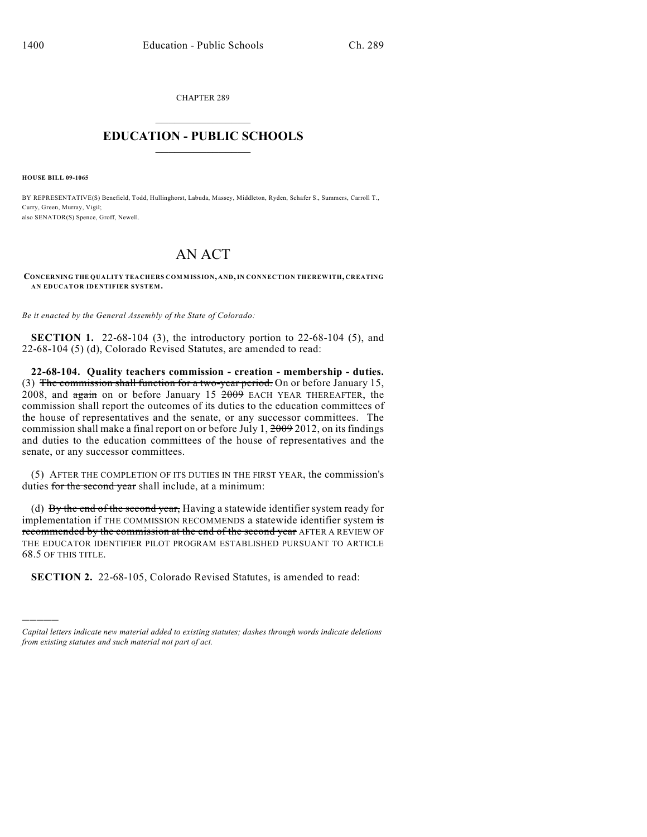CHAPTER 289  $\overline{\phantom{a}}$  . The set of the set of the set of the set of the set of the set of the set of the set of the set of the set of the set of the set of the set of the set of the set of the set of the set of the set of the set o

## **EDUCATION - PUBLIC SCHOOLS**  $\_$   $\_$   $\_$   $\_$   $\_$   $\_$   $\_$   $\_$   $\_$

**HOUSE BILL 09-1065**

)))))

BY REPRESENTATIVE(S) Benefield, Todd, Hullinghorst, Labuda, Massey, Middleton, Ryden, Schafer S., Summers, Carroll T., Curry, Green, Murray, Vigil; also SENATOR(S) Spence, Groff, Newell.

## AN ACT

**CONCERNING THE QUALITY TEACHERS COMMISSION, AND, IN CONNECTION THEREWITH, CREATING AN EDUCATOR IDENTIFIER SYSTEM.**

*Be it enacted by the General Assembly of the State of Colorado:*

**SECTION 1.** 22-68-104 (3), the introductory portion to 22-68-104 (5), and 22-68-104 (5) (d), Colorado Revised Statutes, are amended to read:

**22-68-104. Quality teachers commission - creation - membership - duties.** (3) The commission shall function for a two-year period. On or before January 15,  $2008$ , and  $\frac{1}{2008}$  on or before January 15  $2009$  EACH YEAR THEREAFTER, the commission shall report the outcomes of its duties to the education committees of the house of representatives and the senate, or any successor committees. The commission shall make a final report on or before July 1, 2009 2012, on its findings and duties to the education committees of the house of representatives and the senate, or any successor committees.

(5) AFTER THE COMPLETION OF ITS DUTIES IN THE FIRST YEAR, the commission's duties for the second year shall include, at a minimum:

(d) By the end of the second year, Having a statewide identifier system ready for implementation if THE COMMISSION RECOMMENDS a statewide identifier system is recommended by the commission at the end of the second year AFTER A REVIEW OF THE EDUCATOR IDENTIFIER PILOT PROGRAM ESTABLISHED PURSUANT TO ARTICLE 68.5 OF THIS TITLE.

**SECTION 2.** 22-68-105, Colorado Revised Statutes, is amended to read:

*Capital letters indicate new material added to existing statutes; dashes through words indicate deletions from existing statutes and such material not part of act.*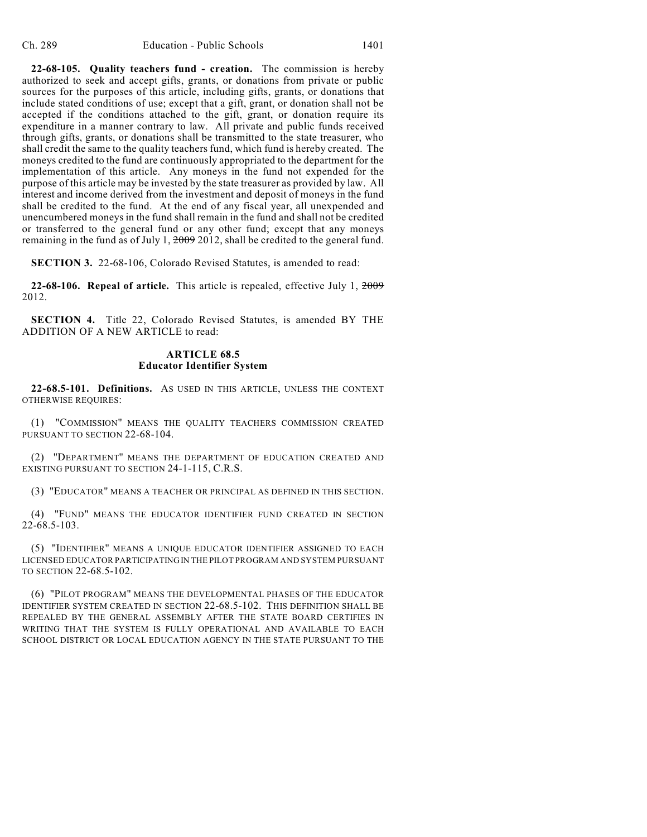**22-68-105. Quality teachers fund - creation.** The commission is hereby authorized to seek and accept gifts, grants, or donations from private or public sources for the purposes of this article, including gifts, grants, or donations that include stated conditions of use; except that a gift, grant, or donation shall not be accepted if the conditions attached to the gift, grant, or donation require its expenditure in a manner contrary to law. All private and public funds received through gifts, grants, or donations shall be transmitted to the state treasurer, who shall credit the same to the quality teachers fund, which fund is hereby created. The moneys credited to the fund are continuously appropriated to the department for the implementation of this article. Any moneys in the fund not expended for the purpose of this article may be invested by the state treasurer as provided by law. All interest and income derived from the investment and deposit of moneys in the fund shall be credited to the fund. At the end of any fiscal year, all unexpended and unencumbered moneys in the fund shall remain in the fund and shall not be credited or transferred to the general fund or any other fund; except that any moneys remaining in the fund as of July 1, 2009 2012, shall be credited to the general fund.

**SECTION 3.** 22-68-106, Colorado Revised Statutes, is amended to read:

**22-68-106. Repeal of article.** This article is repealed, effective July 1, 2009 2012.

**SECTION 4.** Title 22, Colorado Revised Statutes, is amended BY THE ADDITION OF A NEW ARTICLE to read:

## **ARTICLE 68.5 Educator Identifier System**

**22-68.5-101. Definitions.** AS USED IN THIS ARTICLE, UNLESS THE CONTEXT OTHERWISE REQUIRES:

(1) "COMMISSION" MEANS THE QUALITY TEACHERS COMMISSION CREATED PURSUANT TO SECTION 22-68-104.

(2) "DEPARTMENT" MEANS THE DEPARTMENT OF EDUCATION CREATED AND EXISTING PURSUANT TO SECTION 24-1-115, C.R.S.

(3) "EDUCATOR" MEANS A TEACHER OR PRINCIPAL AS DEFINED IN THIS SECTION.

(4) "FUND" MEANS THE EDUCATOR IDENTIFIER FUND CREATED IN SECTION  $22-68.5-103.$ 

(5) "IDENTIFIER" MEANS A UNIQUE EDUCATOR IDENTIFIER ASSIGNED TO EACH LICENSED EDUCATOR PARTICIPATING IN THE PILOT PROGRAM AND SYSTEM PURSUANT TO SECTION 22-68.5-102.

(6) "PILOT PROGRAM" MEANS THE DEVELOPMENTAL PHASES OF THE EDUCATOR IDENTIFIER SYSTEM CREATED IN SECTION 22-68.5-102. THIS DEFINITION SHALL BE REPEALED BY THE GENERAL ASSEMBLY AFTER THE STATE BOARD CERTIFIES IN WRITING THAT THE SYSTEM IS FULLY OPERATIONAL AND AVAILABLE TO EACH SCHOOL DISTRICT OR LOCAL EDUCATION AGENCY IN THE STATE PURSUANT TO THE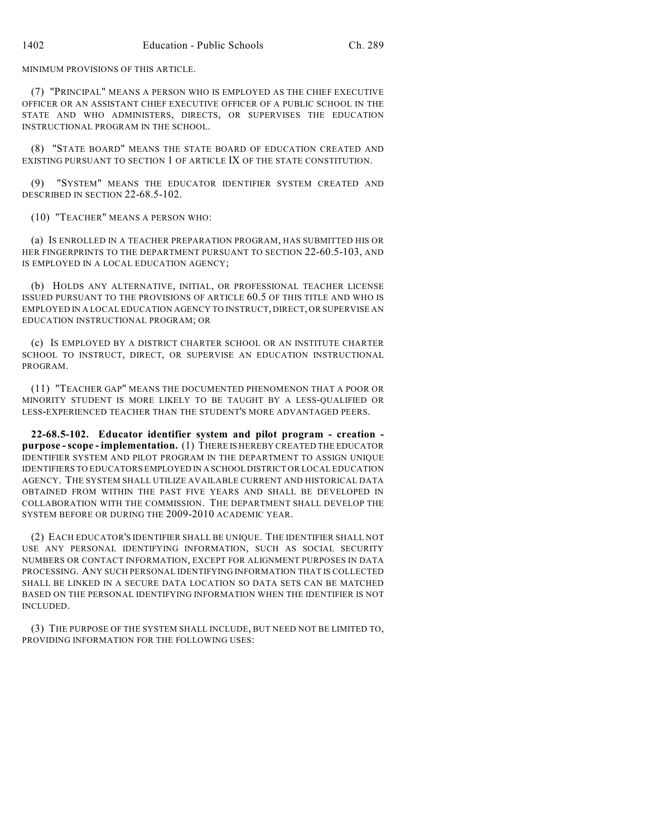MINIMUM PROVISIONS OF THIS ARTICLE.

(7) "PRINCIPAL" MEANS A PERSON WHO IS EMPLOYED AS THE CHIEF EXECUTIVE OFFICER OR AN ASSISTANT CHIEF EXECUTIVE OFFICER OF A PUBLIC SCHOOL IN THE STATE AND WHO ADMINISTERS, DIRECTS, OR SUPERVISES THE EDUCATION INSTRUCTIONAL PROGRAM IN THE SCHOOL.

(8) "STATE BOARD" MEANS THE STATE BOARD OF EDUCATION CREATED AND EXISTING PURSUANT TO SECTION 1 OF ARTICLE IX OF THE STATE CONSTITUTION.

(9) "SYSTEM" MEANS THE EDUCATOR IDENTIFIER SYSTEM CREATED AND DESCRIBED IN SECTION 22-68.5-102.

(10) "TEACHER" MEANS A PERSON WHO:

(a) IS ENROLLED IN A TEACHER PREPARATION PROGRAM, HAS SUBMITTED HIS OR HER FINGERPRINTS TO THE DEPARTMENT PURSUANT TO SECTION 22-60.5-103, AND IS EMPLOYED IN A LOCAL EDUCATION AGENCY;

(b) HOLDS ANY ALTERNATIVE, INITIAL, OR PROFESSIONAL TEACHER LICENSE ISSUED PURSUANT TO THE PROVISIONS OF ARTICLE 60.5 OF THIS TITLE AND WHO IS EMPLOYED IN A LOCAL EDUCATION AGENCY TO INSTRUCT, DIRECT, OR SUPERVISE AN EDUCATION INSTRUCTIONAL PROGRAM; OR

(c) IS EMPLOYED BY A DISTRICT CHARTER SCHOOL OR AN INSTITUTE CHARTER SCHOOL TO INSTRUCT, DIRECT, OR SUPERVISE AN EDUCATION INSTRUCTIONAL PROGRAM.

(11) "TEACHER GAP" MEANS THE DOCUMENTED PHENOMENON THAT A POOR OR MINORITY STUDENT IS MORE LIKELY TO BE TAUGHT BY A LESS-QUALIFIED OR LESS-EXPERIENCED TEACHER THAN THE STUDENT'S MORE ADVANTAGED PEERS.

**22-68.5-102. Educator identifier system and pilot program - creation purpose - scope - implementation.** (1) THERE IS HEREBY CREATED THE EDUCATOR IDENTIFIER SYSTEM AND PILOT PROGRAM IN THE DEPARTMENT TO ASSIGN UNIQUE IDENTIFIERS TO EDUCATORS EMPLOYED IN A SCHOOL DISTRICT OR LOCAL EDUCATION AGENCY. THE SYSTEM SHALL UTILIZE AVAILABLE CURRENT AND HISTORICAL DATA OBTAINED FROM WITHIN THE PAST FIVE YEARS AND SHALL BE DEVELOPED IN COLLABORATION WITH THE COMMISSION. THE DEPARTMENT SHALL DEVELOP THE SYSTEM BEFORE OR DURING THE 2009-2010 ACADEMIC YEAR.

(2) EACH EDUCATOR'S IDENTIFIER SHALL BE UNIQUE. THE IDENTIFIER SHALL NOT USE ANY PERSONAL IDENTIFYING INFORMATION, SUCH AS SOCIAL SECURITY NUMBERS OR CONTACT INFORMATION, EXCEPT FOR ALIGNMENT PURPOSES IN DATA PROCESSING. ANY SUCH PERSONAL IDENTIFYING INFORMATION THAT IS COLLECTED SHALL BE LINKED IN A SECURE DATA LOCATION SO DATA SETS CAN BE MATCHED BASED ON THE PERSONAL IDENTIFYING INFORMATION WHEN THE IDENTIFIER IS NOT INCLUDED.

(3) THE PURPOSE OF THE SYSTEM SHALL INCLUDE, BUT NEED NOT BE LIMITED TO, PROVIDING INFORMATION FOR THE FOLLOWING USES: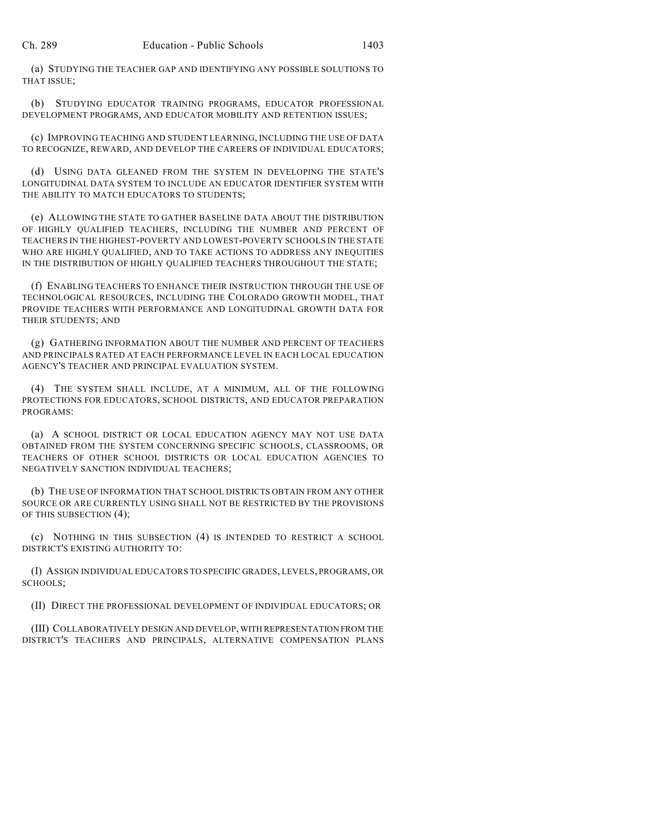(a) STUDYING THE TEACHER GAP AND IDENTIFYING ANY POSSIBLE SOLUTIONS TO THAT ISSUE;

(b) STUDYING EDUCATOR TRAINING PROGRAMS, EDUCATOR PROFESSIONAL DEVELOPMENT PROGRAMS, AND EDUCATOR MOBILITY AND RETENTION ISSUES;

(c) IMPROVING TEACHING AND STUDENT LEARNING, INCLUDING THE USE OF DATA TO RECOGNIZE, REWARD, AND DEVELOP THE CAREERS OF INDIVIDUAL EDUCATORS;

(d) USING DATA GLEANED FROM THE SYSTEM IN DEVELOPING THE STATE'S LONGITUDINAL DATA SYSTEM TO INCLUDE AN EDUCATOR IDENTIFIER SYSTEM WITH THE ABILITY TO MATCH EDUCATORS TO STUDENTS;

(e) ALLOWING THE STATE TO GATHER BASELINE DATA ABOUT THE DISTRIBUTION OF HIGHLY QUALIFIED TEACHERS, INCLUDING THE NUMBER AND PERCENT OF TEACHERS IN THE HIGHEST-POVERTY AND LOWEST-POVERTY SCHOOLS IN THE STATE WHO ARE HIGHLY QUALIFIED, AND TO TAKE ACTIONS TO ADDRESS ANY INEQUITIES IN THE DISTRIBUTION OF HIGHLY QUALIFIED TEACHERS THROUGHOUT THE STATE;

(f) ENABLING TEACHERS TO ENHANCE THEIR INSTRUCTION THROUGH THE USE OF TECHNOLOGICAL RESOURCES, INCLUDING THE COLORADO GROWTH MODEL, THAT PROVIDE TEACHERS WITH PERFORMANCE AND LONGITUDINAL GROWTH DATA FOR THEIR STUDENTS; AND

(g) GATHERING INFORMATION ABOUT THE NUMBER AND PERCENT OF TEACHERS AND PRINCIPALS RATED AT EACH PERFORMANCE LEVEL IN EACH LOCAL EDUCATION AGENCY'S TEACHER AND PRINCIPAL EVALUATION SYSTEM.

(4) THE SYSTEM SHALL INCLUDE, AT A MINIMUM, ALL OF THE FOLLOWING PROTECTIONS FOR EDUCATORS, SCHOOL DISTRICTS, AND EDUCATOR PREPARATION PROGRAMS:

(a) A SCHOOL DISTRICT OR LOCAL EDUCATION AGENCY MAY NOT USE DATA OBTAINED FROM THE SYSTEM CONCERNING SPECIFIC SCHOOLS, CLASSROOMS, OR TEACHERS OF OTHER SCHOOL DISTRICTS OR LOCAL EDUCATION AGENCIES TO NEGATIVELY SANCTION INDIVIDUAL TEACHERS;

(b) THE USE OF INFORMATION THAT SCHOOL DISTRICTS OBTAIN FROM ANY OTHER SOURCE OR ARE CURRENTLY USING SHALL NOT BE RESTRICTED BY THE PROVISIONS OF THIS SUBSECTION (4);

(c) NOTHING IN THIS SUBSECTION (4) IS INTENDED TO RESTRICT A SCHOOL DISTRICT'S EXISTING AUTHORITY TO:

(I) ASSIGN INDIVIDUAL EDUCATORS TO SPECIFIC GRADES, LEVELS, PROGRAMS, OR SCHOOLS;

(II) DIRECT THE PROFESSIONAL DEVELOPMENT OF INDIVIDUAL EDUCATORS; OR

(III) COLLABORATIVELY DESIGN AND DEVELOP, WITH REPRESENTATION FROM THE DISTRICT'S TEACHERS AND PRINCIPALS, ALTERNATIVE COMPENSATION PLANS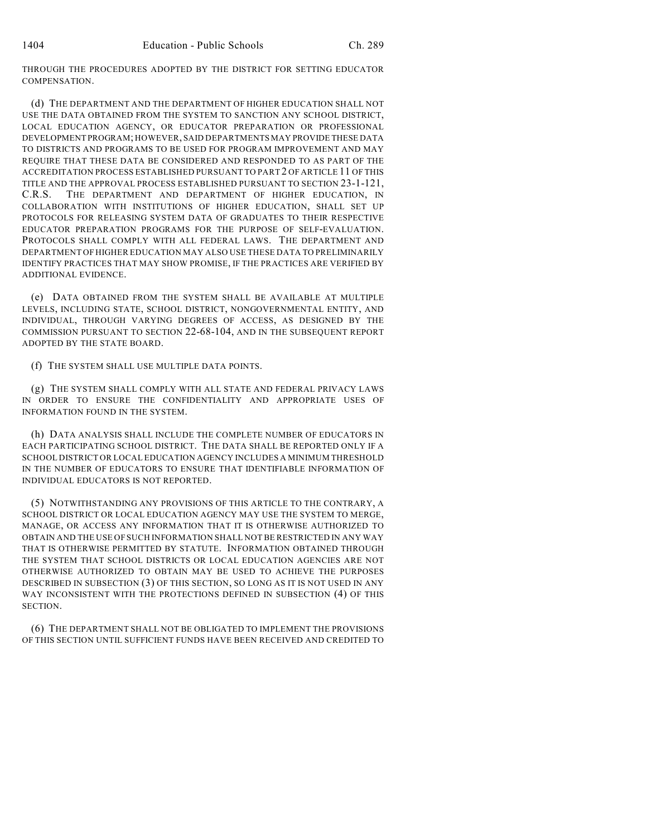THROUGH THE PROCEDURES ADOPTED BY THE DISTRICT FOR SETTING EDUCATOR COMPENSATION.

(d) THE DEPARTMENT AND THE DEPARTMENT OF HIGHER EDUCATION SHALL NOT USE THE DATA OBTAINED FROM THE SYSTEM TO SANCTION ANY SCHOOL DISTRICT, LOCAL EDUCATION AGENCY, OR EDUCATOR PREPARATION OR PROFESSIONAL DEVELOPMENT PROGRAM; HOWEVER, SAID DEPARTMENTS MAY PROVIDE THESE DATA TO DISTRICTS AND PROGRAMS TO BE USED FOR PROGRAM IMPROVEMENT AND MAY REQUIRE THAT THESE DATA BE CONSIDERED AND RESPONDED TO AS PART OF THE ACCREDITATION PROCESS ESTABLISHED PURSUANT TO PART 2 OF ARTICLE 11 OF THIS TITLE AND THE APPROVAL PROCESS ESTABLISHED PURSUANT TO SECTION 23-1-121, C.R.S. THE DEPARTMENT AND DEPARTMENT OF HIGHER EDUCATION, IN COLLABORATION WITH INSTITUTIONS OF HIGHER EDUCATION, SHALL SET UP PROTOCOLS FOR RELEASING SYSTEM DATA OF GRADUATES TO THEIR RESPECTIVE EDUCATOR PREPARATION PROGRAMS FOR THE PURPOSE OF SELF-EVALUATION. PROTOCOLS SHALL COMPLY WITH ALL FEDERAL LAWS. THE DEPARTMENT AND DEPARTMENT OF HIGHER EDUCATION MAY ALSO USE THESE DATA TO PRELIMINARILY IDENTIFY PRACTICES THAT MAY SHOW PROMISE, IF THE PRACTICES ARE VERIFIED BY ADDITIONAL EVIDENCE.

(e) DATA OBTAINED FROM THE SYSTEM SHALL BE AVAILABLE AT MULTIPLE LEVELS, INCLUDING STATE, SCHOOL DISTRICT, NONGOVERNMENTAL ENTITY, AND INDIVIDUAL, THROUGH VARYING DEGREES OF ACCESS, AS DESIGNED BY THE COMMISSION PURSUANT TO SECTION 22-68-104, AND IN THE SUBSEQUENT REPORT ADOPTED BY THE STATE BOARD.

(f) THE SYSTEM SHALL USE MULTIPLE DATA POINTS.

(g) THE SYSTEM SHALL COMPLY WITH ALL STATE AND FEDERAL PRIVACY LAWS IN ORDER TO ENSURE THE CONFIDENTIALITY AND APPROPRIATE USES OF INFORMATION FOUND IN THE SYSTEM.

(h) DATA ANALYSIS SHALL INCLUDE THE COMPLETE NUMBER OF EDUCATORS IN EACH PARTICIPATING SCHOOL DISTRICT. THE DATA SHALL BE REPORTED ONLY IF A SCHOOL DISTRICT OR LOCAL EDUCATION AGENCY INCLUDES A MINIMUM THRESHOLD IN THE NUMBER OF EDUCATORS TO ENSURE THAT IDENTIFIABLE INFORMATION OF INDIVIDUAL EDUCATORS IS NOT REPORTED.

(5) NOTWITHSTANDING ANY PROVISIONS OF THIS ARTICLE TO THE CONTRARY, A SCHOOL DISTRICT OR LOCAL EDUCATION AGENCY MAY USE THE SYSTEM TO MERGE, MANAGE, OR ACCESS ANY INFORMATION THAT IT IS OTHERWISE AUTHORIZED TO OBTAIN AND THE USE OF SUCH INFORMATION SHALL NOT BE RESTRICTED IN ANY WAY THAT IS OTHERWISE PERMITTED BY STATUTE. INFORMATION OBTAINED THROUGH THE SYSTEM THAT SCHOOL DISTRICTS OR LOCAL EDUCATION AGENCIES ARE NOT OTHERWISE AUTHORIZED TO OBTAIN MAY BE USED TO ACHIEVE THE PURPOSES DESCRIBED IN SUBSECTION (3) OF THIS SECTION, SO LONG AS IT IS NOT USED IN ANY WAY INCONSISTENT WITH THE PROTECTIONS DEFINED IN SUBSECTION (4) OF THIS SECTION.

(6) THE DEPARTMENT SHALL NOT BE OBLIGATED TO IMPLEMENT THE PROVISIONS OF THIS SECTION UNTIL SUFFICIENT FUNDS HAVE BEEN RECEIVED AND CREDITED TO